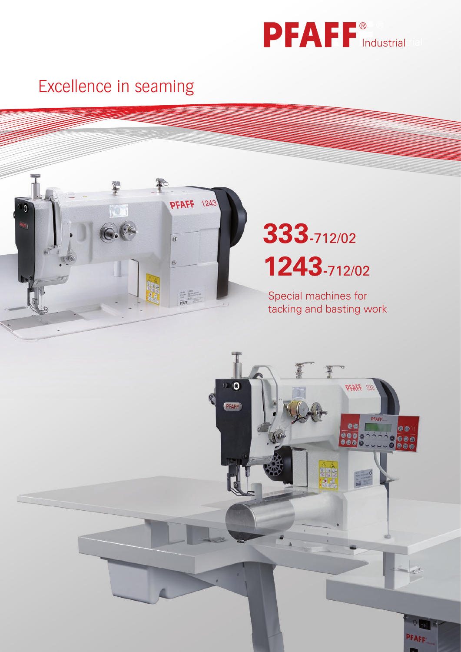

## Excellence in seaming Industrial Contract of the Excellence in seaming Excellence in seaming



# **333-**712/02 **1243-**712/02

Special machines for tacking and basting work